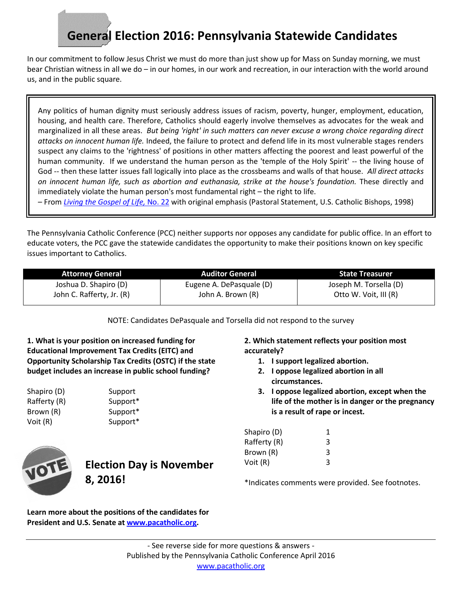## **General Election 2016: Pennsylvania Statewide Candidates**

In our commitment to follow Jesus Christ we must do more than just show up for Mass on Sunday morning, we must bear Christian witness in all we do – in our homes, in our work and recreation, in our interaction with the world around us, and in the public square.

Any politics of human dignity must seriously address issues of racism, poverty, hunger, employment, education, housing, and health care. Therefore, Catholics should eagerly involve themselves as advocates for the weak and marginalized in all these areas. *But being 'right' in such matters can never excuse a wrong choice regarding direct attacks on innocent human life.* Indeed, the failure to protect and defend life in its most vulnerable stages renders suspect any claims to the 'rightness' of positions in other matters affecting the poorest and least powerful of the human community. If we understand the human person as the 'temple of the Holy Spirit' -- the living house of God -- then these latter issues fall logically into place as the crossbeams and walls of that house. *All direct attacks on innocent human life, such as abortion and euthanasia, strike at the house's foundation.* These directly and immediately violate the human person's most fundamental right – the right to life.

– From *[Living the Gospel of Life,](http://www.usccb.org/issues-and-action/human-life-and-dignity/abortion/living-the-gospel-of-life.cfm)* No. 22 with original emphasis (Pastoral Statement, U.S. Catholic Bishops, 1998)

The Pennsylvania Catholic Conference (PCC) neither supports nor opposes any candidate for public office. In an effort to educate voters, the PCC gave the statewide candidates the opportunity to make their positions known on key specific issues important to Catholics.

| <b>Attorney General</b>   | <b>Auditor General</b>   | <b>State Treasurer</b> |
|---------------------------|--------------------------|------------------------|
| Joshua D. Shapiro (D)     | Eugene A. DePasquale (D) | Joseph M. Torsella (D) |
| John C. Rafferty, Jr. (R) | John A. Brown (R)        | Otto W. Voit, III (R)  |

NOTE: Candidates DePasquale and Torsella did not respond to the survey

**1. What is your position on increased funding for Educational Improvement Tax Credits (EITC) and Opportunity Scholarship Tax Credits (OSTC) if the state budget includes an increase in public school funding?**

Shapiro (D) Support Rafferty (R) Support\* Brown (R) Support\* Voit (R) Support\*



**Election Day is November 8, 2016!**

**2. Which statement reflects your position most accurately?**

- **1. I support legalized abortion.**
- **2. I oppose legalized abortion in all circumstances.**
- **3. I oppose legalized abortion, except when the life of the mother is in danger or the pregnancy is a result of rape or incest.**

| Shapiro (D)  | 1 |
|--------------|---|
| Rafferty (R) | 3 |
| Brown (R)    | 3 |
| Voit (R)     | 3 |

\*Indicates comments were provided. See footnotes.

**Learn more about the positions of the candidates for President and U.S. Senate at [www.pacatholic.org.](http://www.pacatholic.org/)**